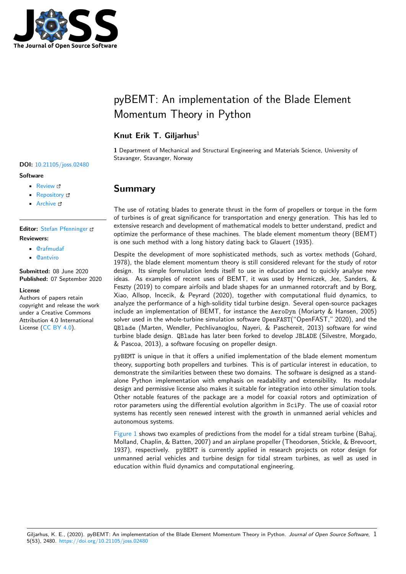

# pyBEMT: An implementation of the Blade Element Momentum Theory in Python

## **Knut Erik T. Giljarhus**<sup>1</sup>

**1** Department of Mechanical and Structural Engineering and Materials Science, University of Stavanger, Stavanger, Norway

# **Summary**

The use of rotating blades to generate thrust in the form of propellers or torque in the form of turbines is of great significance for transportation and energy generation. This has led to extensive research and development of mathematical models to better understand, predict and optimize the performance of these machines. The blade element momentum theory (BEMT) is one such method with a long history dating back to Glauert (1935).

Despite the development of more sophisticated methods, such as vortex methods (Gohard, 1978), the blade element momentum theory is still considered relevant for the study of rotor design. Its simple formulation lends itself to use in education and to quickly analyse new ideas. As examples of recent uses of BEMT, it was used by Herniczek, Jee, Sanders, & Feszty (2019) to compare airfoils and blade shapes for an unmanned rotorcraft and by Borg, Xiao, Allsop, Incecik, & Peyrard (2020), together with computational fluid dynamics, to analyze the performance of a high-solidity tidal turbine design. Several open-source packages include an implementation of BEMT, for instance the AeroDyn (Moriarty & Hansen, 2005) solver used in the whole-turbine simulation software OpenFAST("OpenFAST," 2020), and the QBlade (Marten, Wendler, Pechlivanoglou, Nayeri, & Paschereit, 2013) software for wind turbine blade design. QBlade has later been forked to develop JBLADE (Silvestre, Morgado, & Pascoa, 2013), a software focusing on propeller design.

pyBEMT is unique in that it offers a unified implementation of the blade element momentum theory, supporting both propellers and turbines. This is of particular interest in education, to demonstrate the similarities between these two domains. The software is designed as a standalone Python implementation with emphasis on readability and extensibility. Its modular design and permissive license also makes it suitable for integration into other simulation tools. Other notable features of the package are a model for coaxial rotors and optimization of rotor parameters using the differential evolution algorithm in SciPy. The use of coaxial rotor systems has recently seen renewed interest with the growth in unmanned aerial vehicles and autonomous systems.

Figure 1 shows two examples of predictions from the model for a tidal stream turbine (Bahaj, Molland, Chaplin, & Batten, 2007) and an airplane propeller (Theodorsen, Stickle, & Brevoort, 1937), respectively. pyBEMT is currently applied in research projects on rotor design for unmanned aerial vehicles and turbine design for tidal stream turbines, as well as used in [educatio](#page-1-0)n within fluid dynamics and computational engineering.

### **DOI:** 10.21105/joss.02480

#### **Software**

- Review &
- [Repository](https://doi.org/10.21105/joss.02480) &
- Archive

# **Editor:** [Stefan Pf](https://github.com/kegiljarhus/pyBEMT)enninger

### **Revie[wers:](https://doi.org/10.5281/zenodo.4016951)**

- @rafmudaf
- @[antviro](https://www.pfenninger.org/)

**Submitted:** 08 June 2020 **Published:** [07 Se](https://github.com/rafmudaf)ptember 2020

#### **Licen[se](https://github.com/antviro)**

Authors of papers retain copyright and release the work under a Creative Commons Attribution 4.0 International License (CC BY 4.0).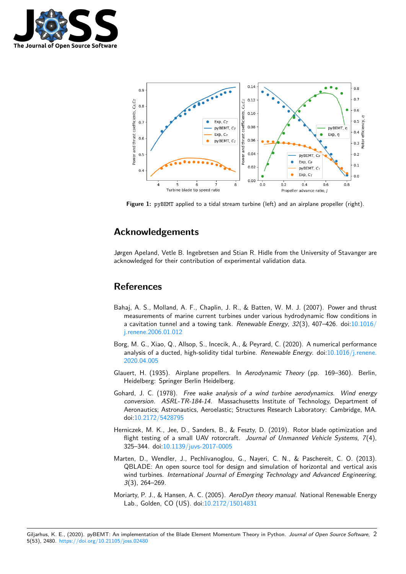

<span id="page-1-0"></span>

**Figure 1:** pyBEMT applied to a tidal stream turbine (left) and an airplane propeller (right).

# **Acknowledgements**

Jørgen Apeland, Vetle B. Ingebretsen and Stian R. Hidle from the University of Stavanger are acknowledged for their contribution of experimental validation data.

## **References**

- Bahaj, A. S., Molland, A. F., Chaplin, J. R., & Batten, W. M. J. (2007). Power and thrust measurements of marine current turbines under various hydrodynamic flow conditions in a cavitation tunnel and a towing tank. *Renewable Energy*, *32*(3), 407–426. doi:10.1016/ j.renene.2006.01.012
- Borg, M. G., Xiao, Q., Allsop, S., Incecik, A., & Peyrard, C. (2020). A numerical performance analysis of a ducted, high-solidity tidal turbine. *Renewable Energy*. doi:10.1016[/j.renene.](https://doi.org/10.1016/j.renene.2006.01.012) [2020.04.005](https://doi.org/10.1016/j.renene.2006.01.012)
- Glauert, H. (1935). Airplane propellers. In *Aerodynamic Theory* (pp. 169–360). Berlin, Heidelberg: Springer Berlin Heidelberg.
- Go[hard, J. C. \(](https://doi.org/10.1016/j.renene.2020.04.005)1978). *Free wake analysis of a wind turbine aerodynami[cs. Wind energy](https://doi.org/10.1016/j.renene.2020.04.005) conversion. ASRL-TR-184-14*. Massachusetts Institute of Technology, Department of Aeronautics; Astronautics, Aeroelastic; Structures Research Laboratory: Cambridge, MA. doi:10.2172/5428795
- Herniczek, M. K., Jee, D., Sanders, B., & Feszty, D. (2019). Rotor blade optimization and flight testing of a small UAV rotorcraft. *Journal of Unmanned Vehicle Systems*, *7*(4), 325[–344. doi:10.1139](https://doi.org/10.2172/5428795)/juvs-2017-0005
- Marten, D., Wendler, J., Pechlivanoglou, G., Nayeri, C. N., & Paschereit, C. O. (2013). QBLADE: An open source tool for design and simulation of horizontal and vertical axis wind turbines. *[International Journal o](https://doi.org/10.1139/juvs-2017-0005)f Emerging Technology and Advanced Engineering*, *3*(3), 264–269.
- Moriarty, P. J., & Hansen, A. C. (2005). *AeroDyn theory manual*. National Renewable Energy Lab., Golden, CO (US). doi:10.2172/15014831